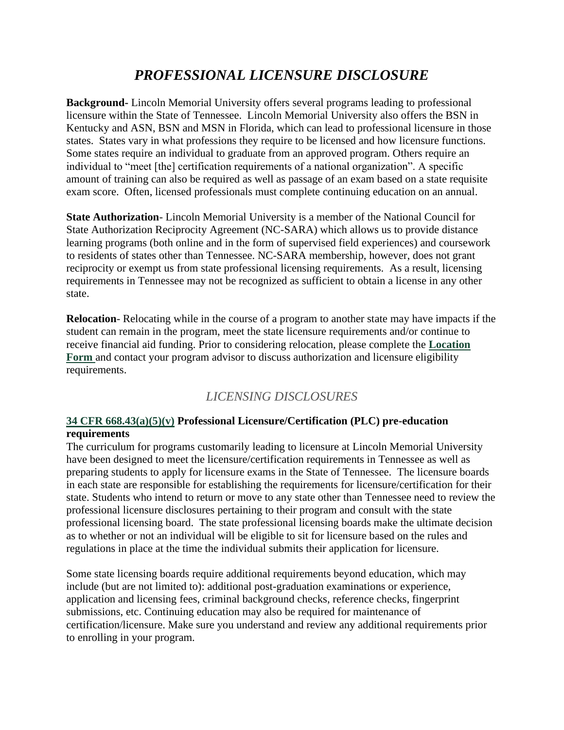## *PROFESSIONAL LICENSURE DISCLOSURE*

**Background-** Lincoln Memorial University offers several programs leading to professional licensure within the State of Tennessee. Lincoln Memorial University also offers the BSN in Kentucky and ASN, BSN and MSN in Florida, which can lead to professional licensure in those states. States vary in what professions they require to be licensed and how licensure functions. Some states require an individual to graduate from an approved program. Others require an individual to "meet [the] certification requirements of a national organization". A specific amount of training can also be required as well as passage of an exam based on a state requisite exam score. Often, licensed professionals must complete continuing education on an annual.

**State Authorization**- Lincoln Memorial University is a member of the National Council for State Authorization Reciprocity Agreement (NC-SARA) which allows us to provide distance learning programs (both online and in the form of supervised field experiences) and coursework to residents of states other than Tennessee. NC-SARA membership, however, does not grant reciprocity or exempt us from state professional licensing requirements. As a result, licensing requirements in Tennessee may not be recognized as sufficient to obtain a license in any other state.

**Relocation**- Relocating while in the course of a program to another state may have impacts if the student can remain in the program, meet the state licensure requirements and/or continue to receive financial aid funding. Prior to considering relocation, please complete the **[Location](https://www.baylor.edu/professionaleducation/index.php?id=970420)  [Form](https://www.baylor.edu/professionaleducation/index.php?id=970420)** and contact your program advisor to discuss authorization and licensure eligibility requirements.

### *LICENSING DISCLOSURES*

#### **[34 CFR 668.43\(a\)\(5\)\(v\)](https://www.ecfr.gov/cgi-bin/text-idx?type=simple;c=ecfr;cc=ecfr;sid=f415ba12edb2f62d553f2738cfb4d597;region=DIV1;q1=668.43;rgn=div8;view=text;idno=34;node=34%3A3.1.3.1.34.4.39.3) Professional Licensure/Certification (PLC) pre-education requirements**

The curriculum for programs customarily leading to licensure at Lincoln Memorial University have been designed to meet the licensure/certification requirements in Tennessee as well as preparing students to apply for licensure exams in the State of Tennessee. The licensure boards in each state are responsible for establishing the requirements for licensure/certification for their state. Students who intend to return or move to any state other than Tennessee need to review the professional licensure disclosures pertaining to their program and consult with the state professional licensing board. The state professional licensing boards make the ultimate decision as to whether or not an individual will be eligible to sit for licensure based on the rules and regulations in place at the time the individual submits their application for licensure.

Some state licensing boards require additional requirements beyond education, which may include (but are not limited to): additional post-graduation examinations or experience, application and licensing fees, criminal background checks, reference checks, fingerprint submissions, etc. Continuing education may also be required for maintenance of certification/licensure. Make sure you understand and review any additional requirements prior to enrolling in your program.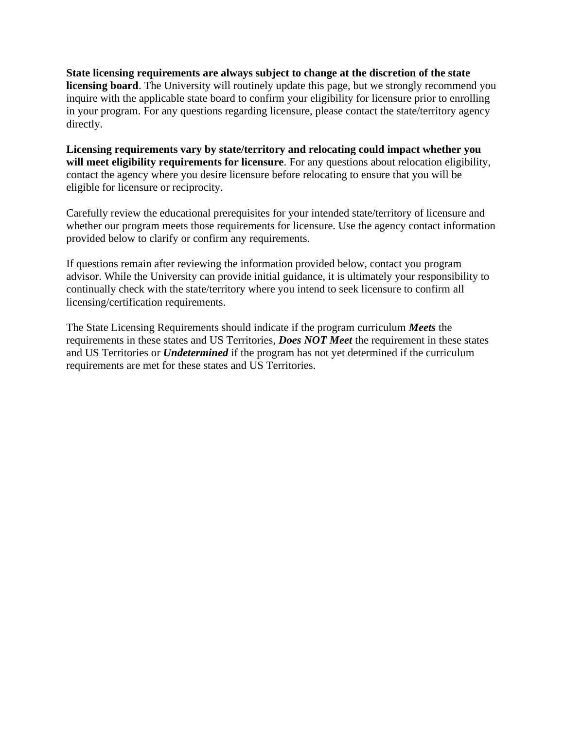**State licensing requirements are always subject to change at the discretion of the state licensing board**. The University will routinely update this page, but we strongly recommend you inquire with the applicable state board to confirm your eligibility for licensure prior to enrolling in your program. For any questions regarding licensure, please contact the state/territory agency directly.

**Licensing requirements vary by state/territory and relocating could impact whether you will meet eligibility requirements for licensure**. For any questions about relocation eligibility, contact the agency where you desire licensure before relocating to ensure that you will be eligible for licensure or reciprocity.

Carefully review the educational prerequisites for your intended state/territory of licensure and whether our program meets those requirements for licensure. Use the agency contact information provided below to clarify or confirm any requirements.

If questions remain after reviewing the information provided below, contact you program advisor. While the University can provide initial guidance, it is ultimately your responsibility to continually check with the state/territory where you intend to seek licensure to confirm all licensing/certification requirements.

The State Licensing Requirements should indicate if the program curriculum *Meets* the requirements in these states and US Territories, *Does NOT Meet* the requirement in these states and US Territories or *Undetermined* if the program has not yet determined if the curriculum requirements are met for these states and US Territories.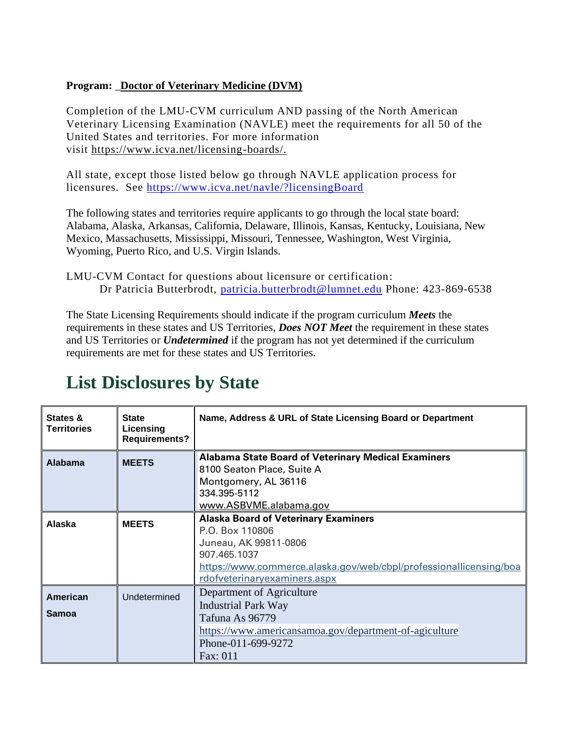#### **Program:** \_**Doctor of Veterinary Medicine (DVM)**

Completion of the LMU-CVM curriculum AND passing of the North American Veterinary Licensing Examination (NAVLE) meet the requirements for all 50 of the United States and territories. For more information visit [https://www.icva.net/licensing-boards/.](https://nam12.safelinks.protection.outlook.com/?url=https%3A%2F%2Fwww.icva.net%2Flicensing-boards%2F&data=02%7C01%7CLauren.Jolly%40lmunet.edu%7C4fd204ef9934449ed43b08d863c4e159%7Cd3ef1a875daf4bdfa11b40412f4a2b3c%7C0%7C0%7C637369044535223674&sdata=v8zB1vVRBRDZflKEpdBhVz0Po7zACJAVdKAOYAtA1VU%3D&reserved=0)

All state, except those listed below go through NAVLE application process for licensures. See<https://www.icva.net/navle/?licensingBoard>

The following states and territories require applicants to go through the local state board: Alabama, Alaska, Arkansas, California, Delaware, Illinois, Kansas, Kentucky, Louisiana, New Mexico, Massachusetts, Mississippi, Missouri, Tennessee, Washington, West Virginia, Wyoming, Puerto Rico, and U.S. Virgin Islands.

LMU-CVM Contact for questions about licensure or certification: Dr Patricia Butterbrodt, [patricia.butterbrodt@lumnet.edu](mailto:patricia.butterbrodt@lumnet.edu) Phone: 423-869-6538

The State Licensing Requirements should indicate if the program curriculum *Meets* the requirements in these states and US Territories, *Does NOT Meet* the requirement in these states and US Territories or *Undetermined* if the program has not yet determined if the curriculum requirements are met for these states and US Territories.

| States &<br><b>Territories</b> | <b>State</b><br>Licensing<br><b>Requirements?</b> | Name, Address & URL of State Licensing Board or Department                                                                                                                                                    |
|--------------------------------|---------------------------------------------------|---------------------------------------------------------------------------------------------------------------------------------------------------------------------------------------------------------------|
| <b>Alabama</b>                 | <b>MEETS</b>                                      | <b>Alabama State Board of Veterinary Medical Examiners</b><br>8100 Seaton Place, Suite A<br>Montgomery, AL 36116<br>334.395-5112<br>www.ASBVME.alabama.gov                                                    |
| Alaska                         | <b>MEETS</b>                                      | <b>Alaska Board of Veterinary Examiners</b><br>P.O. Box 110806<br>Juneau, AK 99811-0806<br>907.465.1037<br>https://www.commerce.alaska.gov/web/cbpl/professionallicensing/boa<br>rdofveterinaryexaminers.aspx |
| American<br>Samoa              | Undetermined                                      | Department of Agriculture<br><b>Industrial Park Way</b><br>Tafuna As 96779<br>https://www.americansamoa.gov/department-of-agiculture<br>Phone-011-699-9272<br>Fax: 011                                        |

# **List Disclosures by State**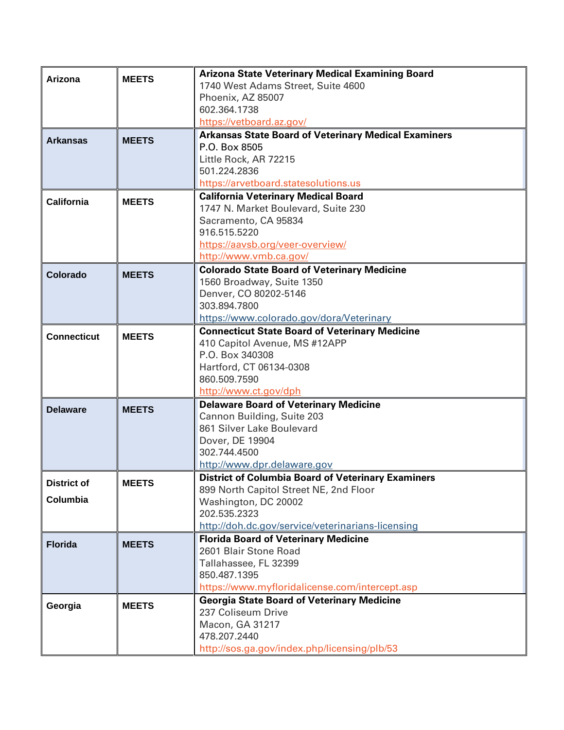| Arizona                        | <b>MEETS</b> | <b>Arizona State Veterinary Medical Examining Board</b><br>1740 West Adams Street, Suite 4600<br>Phoenix, AZ 85007<br>602.364.1738<br>https://vetboard.az.gov/                            |
|--------------------------------|--------------|-------------------------------------------------------------------------------------------------------------------------------------------------------------------------------------------|
| <b>Arkansas</b>                | <b>MEETS</b> | <b>Arkansas State Board of Veterinary Medical Examiners</b><br>P.O. Box 8505<br>Little Rock, AR 72215<br>501.224.2836<br>https://arvetboard.statesolutions.us                             |
| California                     | <b>MEETS</b> | <b>California Veterinary Medical Board</b><br>1747 N. Market Boulevard, Suite 230<br>Sacramento, CA 95834<br>916.515.5220<br>https://aavsb.org/veer-overview/<br>http://www.vmb.ca.gov/   |
| Colorado                       | <b>MEETS</b> | <b>Colorado State Board of Veterinary Medicine</b><br>1560 Broadway, Suite 1350<br>Denver, CO 80202-5146<br>303.894.7800<br>https://www.colorado.gov/dora/Veterinary                      |
| <b>Connecticut</b>             | <b>MEETS</b> | <b>Connecticut State Board of Veterinary Medicine</b><br>410 Capitol Avenue, MS #12APP<br>P.O. Box 340308<br>Hartford, CT 06134-0308<br>860.509.7590<br>http://www.ct.gov/dph             |
| <b>Delaware</b>                | <b>MEETS</b> | <b>Delaware Board of Veterinary Medicine</b><br>Cannon Building, Suite 203<br>861 Silver Lake Boulevard<br>Dover, DE 19904<br>302.744.4500<br>http://www.dpr.delaware.gov                 |
| <b>District of</b><br>Columbia | <b>MEETS</b> | District of Columbia Board of Veterinary Examiners<br>899 North Capitol Street NE, 2nd Floor<br>Washington, DC 20002<br>202.535.2323<br>http://doh.dc.gov/service/veterinarians-licensing |
| <b>Florida</b>                 | <b>MEETS</b> | <b>Florida Board of Veterinary Medicine</b><br>2601 Blair Stone Road<br>Tallahassee, FL 32399<br>850.487.1395<br>https://www.myfloridalicense.com/intercept.asp                           |
| Georgia                        | <b>MEETS</b> | <b>Georgia State Board of Veterinary Medicine</b><br>237 Coliseum Drive<br>Macon, GA 31217<br>478.207.2440<br>http://sos.ga.gov/index.php/licensing/plb/53                                |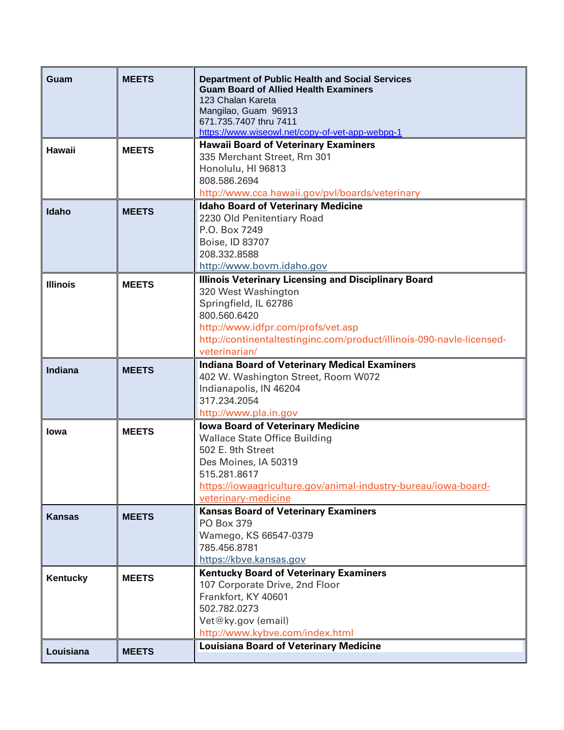| Guam            | <b>MEETS</b> | <b>Department of Public Health and Social Services</b><br><b>Guam Board of Allied Health Examiners</b><br>123 Chalan Kareta<br>Mangilao, Guam 96913 |
|-----------------|--------------|-----------------------------------------------------------------------------------------------------------------------------------------------------|
|                 |              | 671.735.7407 thru 7411<br>https://www.wiseowl.net/copy-of-vet-app-webpg-1                                                                           |
| <b>Hawaii</b>   | <b>MEETS</b> | <b>Hawaii Board of Veterinary Examiners</b>                                                                                                         |
|                 |              | 335 Merchant Street, Rm 301                                                                                                                         |
|                 |              | Honolulu, HI 96813<br>808.586.2694                                                                                                                  |
|                 |              | http://www.cca.hawaii.gov/pvl/boards/veterinary                                                                                                     |
| Idaho           | <b>MEETS</b> | <b>Idaho Board of Veterinary Medicine</b>                                                                                                           |
|                 |              | 2230 Old Penitentiary Road                                                                                                                          |
|                 |              | P.O. Box 7249                                                                                                                                       |
|                 |              | Boise, ID 83707<br>208.332.8588                                                                                                                     |
|                 |              | http://www.bovm.idaho.gov                                                                                                                           |
| <b>Illinois</b> | <b>MEETS</b> | <b>Illinois Veterinary Licensing and Disciplinary Board</b>                                                                                         |
|                 |              | 320 West Washington                                                                                                                                 |
|                 |              | Springfield, IL 62786                                                                                                                               |
|                 |              | 800.560.6420                                                                                                                                        |
|                 |              | http://www.idfpr.com/profs/vet.asp<br>http://continentaltestinginc.com/product/illinois-090-navle-licensed-                                         |
|                 |              | veterinarian/                                                                                                                                       |
| <b>Indiana</b>  | <b>MEETS</b> | <b>Indiana Board of Veterinary Medical Examiners</b>                                                                                                |
|                 |              | 402 W. Washington Street, Room W072                                                                                                                 |
|                 |              | Indianapolis, IN 46204<br>317.234.2054                                                                                                              |
|                 |              | http://www.pla.in.gov                                                                                                                               |
|                 |              | <b>Iowa Board of Veterinary Medicine</b>                                                                                                            |
| <b>lowa</b>     | <b>MEETS</b> | <b>Wallace State Office Building</b>                                                                                                                |
|                 |              | 502 E. 9th Street                                                                                                                                   |
|                 |              | Des Moines, IA 50319                                                                                                                                |
|                 |              | 515.281.8617<br>https://iowaagriculture.gov/animal-industry-bureau/iowa-board-                                                                      |
|                 |              | veterinary-medicine                                                                                                                                 |
| <b>Kansas</b>   | <b>MEETS</b> | <b>Kansas Board of Veterinary Examiners</b>                                                                                                         |
|                 |              | PO Box 379                                                                                                                                          |
|                 |              | Wamego, KS 66547-0379                                                                                                                               |
|                 |              | 785.456.8781                                                                                                                                        |
|                 |              | https://kbve.kansas.gov<br><b>Kentucky Board of Veterinary Examiners</b>                                                                            |
| Kentucky        | <b>MEETS</b> | 107 Corporate Drive, 2nd Floor                                                                                                                      |
|                 |              | Frankfort, KY 40601                                                                                                                                 |
|                 |              | 502.782.0273                                                                                                                                        |
|                 |              | Vet@ky.gov (email)                                                                                                                                  |
|                 |              | http://www.kybve.com/index.html                                                                                                                     |
| Louisiana       | <b>MEETS</b> | <b>Louisiana Board of Veterinary Medicine</b>                                                                                                       |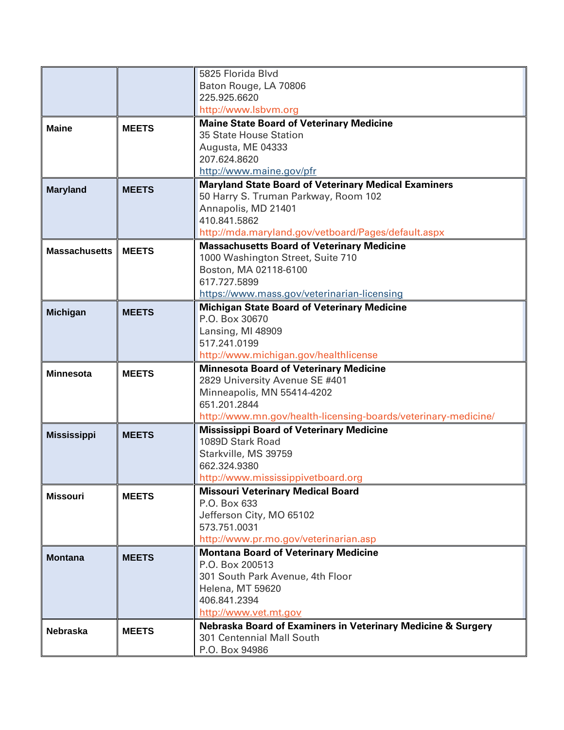|                      |              | Baton Rouge, LA 70806                                                                                                                                                                         |
|----------------------|--------------|-----------------------------------------------------------------------------------------------------------------------------------------------------------------------------------------------|
|                      |              |                                                                                                                                                                                               |
|                      |              | 225.925.6620                                                                                                                                                                                  |
|                      |              | http://www.lsbvm.org                                                                                                                                                                          |
| <b>Maine</b>         | <b>MEETS</b> | <b>Maine State Board of Veterinary Medicine</b>                                                                                                                                               |
|                      |              | 35 State House Station                                                                                                                                                                        |
|                      |              | Augusta, ME 04333                                                                                                                                                                             |
|                      |              | 207.624.8620                                                                                                                                                                                  |
|                      |              | http://www.maine.gov/pfr                                                                                                                                                                      |
| <b>Maryland</b>      | <b>MEETS</b> | <b>Maryland State Board of Veterinary Medical Examiners</b>                                                                                                                                   |
|                      |              | 50 Harry S. Truman Parkway, Room 102<br>Annapolis, MD 21401                                                                                                                                   |
|                      |              | 410.841.5862                                                                                                                                                                                  |
|                      |              | http://mda.maryland.gov/vetboard/Pages/default.aspx                                                                                                                                           |
|                      |              | <b>Massachusetts Board of Veterinary Medicine</b>                                                                                                                                             |
| <b>Massachusetts</b> | <b>MEETS</b> | 1000 Washington Street, Suite 710                                                                                                                                                             |
|                      |              | Boston, MA 02118-6100                                                                                                                                                                         |
|                      |              | 617.727.5899                                                                                                                                                                                  |
|                      |              | https://www.mass.gov/veterinarian-licensing                                                                                                                                                   |
| <b>Michigan</b>      | <b>MEETS</b> | <b>Michigan State Board of Veterinary Medicine</b>                                                                                                                                            |
|                      |              | P.O. Box 30670                                                                                                                                                                                |
|                      |              | Lansing, MI 48909                                                                                                                                                                             |
|                      |              | 517.241.0199                                                                                                                                                                                  |
|                      |              | http://www.michigan.gov/healthlicense                                                                                                                                                         |
| <b>Minnesota</b>     | <b>MEETS</b> | <b>Minnesota Board of Veterinary Medicine</b>                                                                                                                                                 |
|                      |              | 2829 University Avenue SE #401                                                                                                                                                                |
|                      |              | Minneapolis, MN 55414-4202<br>651.201.2844                                                                                                                                                    |
|                      |              |                                                                                                                                                                                               |
|                      |              |                                                                                                                                                                                               |
| <b>Mississippi</b>   | <b>MEETS</b> |                                                                                                                                                                                               |
|                      |              |                                                                                                                                                                                               |
|                      |              |                                                                                                                                                                                               |
|                      |              | http://www.mississippivetboard.org                                                                                                                                                            |
|                      |              | <b>Missouri Veterinary Medical Board</b>                                                                                                                                                      |
|                      |              | P.O. Box 633                                                                                                                                                                                  |
|                      |              | Jefferson City, MO 65102                                                                                                                                                                      |
|                      |              |                                                                                                                                                                                               |
|                      |              | http://www.pr.mo.gov/veterinarian.asp                                                                                                                                                         |
| <b>Montana</b>       | <b>MEETS</b> | <b>Montana Board of Veterinary Medicine</b>                                                                                                                                                   |
|                      |              | P.O. Box 200513                                                                                                                                                                               |
|                      |              | 301 South Park Avenue, 4th Floor                                                                                                                                                              |
|                      |              | Helena, MT 59620                                                                                                                                                                              |
|                      |              | 406.841.2394                                                                                                                                                                                  |
|                      |              | http://www.vet.mt.gov<br>Nebraska Board of Examiners in Veterinary Medicine & Surgery                                                                                                         |
| <b>Nebraska</b>      | <b>MEETS</b> | 301 Centennial Mall South                                                                                                                                                                     |
|                      |              |                                                                                                                                                                                               |
| <b>Missouri</b>      | <b>MEETS</b> | http://www.mn.gov/health-licensing-boards/veterinary-medicine/<br><b>Mississippi Board of Veterinary Medicine</b><br>1089D Stark Road<br>Starkville, MS 39759<br>662.324.9380<br>573.751.0031 |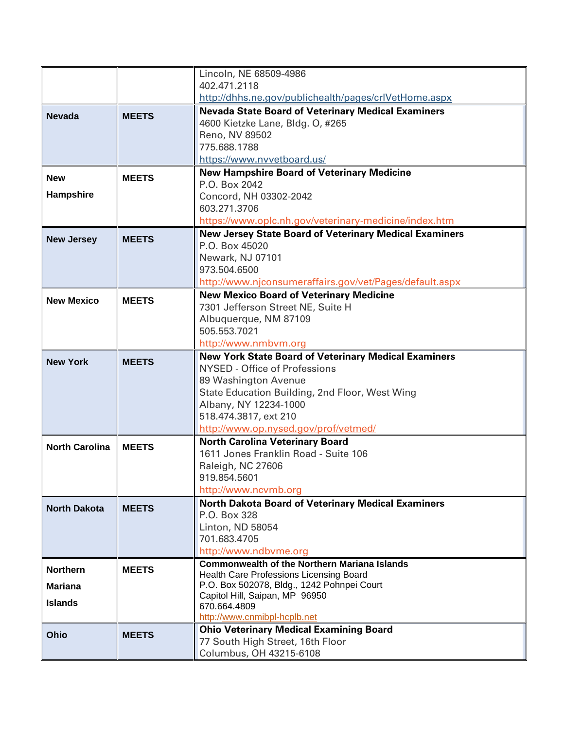|                       |              | Lincoln, NE 68509-4986                                                                        |
|-----------------------|--------------|-----------------------------------------------------------------------------------------------|
|                       |              | 402.471.2118                                                                                  |
|                       |              | http://dhhs.ne.gov/publichealth/pages/crlVetHome.aspx                                         |
| <b>Nevada</b>         | <b>MEETS</b> | <b>Nevada State Board of Veterinary Medical Examiners</b><br>4600 Kietzke Lane, Bldg. O, #265 |
|                       |              | Reno, NV 89502                                                                                |
|                       |              | 775.688.1788                                                                                  |
|                       |              | https://www.nvvetboard.us/                                                                    |
| <b>New</b>            | <b>MEETS</b> | <b>New Hampshire Board of Veterinary Medicine</b>                                             |
|                       |              | P.O. Box 2042                                                                                 |
| Hampshire             |              | Concord, NH 03302-2042                                                                        |
|                       |              | 603.271.3706                                                                                  |
|                       |              | https://www.oplc.nh.gov/veterinary-medicine/index.htm                                         |
| <b>New Jersey</b>     | <b>MEETS</b> | <b>New Jersey State Board of Veterinary Medical Examiners</b><br>P.O. Box 45020               |
|                       |              | Newark, NJ 07101                                                                              |
|                       |              | 973.504.6500                                                                                  |
|                       |              | http://www.njconsumeraffairs.gov/vet/Pages/default.aspx                                       |
|                       |              | <b>New Mexico Board of Veterinary Medicine</b>                                                |
| <b>New Mexico</b>     | <b>MEETS</b> | 7301 Jefferson Street NE, Suite H                                                             |
|                       |              | Albuquerque, NM 87109                                                                         |
|                       |              | 505.553.7021                                                                                  |
|                       |              | http://www.nmbvm.org                                                                          |
| <b>New York</b>       | <b>MEETS</b> | <b>New York State Board of Veterinary Medical Examiners</b>                                   |
|                       |              | <b>NYSED - Office of Professions</b>                                                          |
|                       |              | 89 Washington Avenue<br>State Education Building, 2nd Floor, West Wing                        |
|                       |              | Albany, NY 12234-1000                                                                         |
|                       |              | 518.474.3817, ext 210                                                                         |
|                       |              | http://www.op.nysed.gov/prof/vetmed/                                                          |
| <b>North Carolina</b> | <b>MEETS</b> | <b>North Carolina Veterinary Board</b>                                                        |
|                       |              | 1611 Jones Franklin Road - Suite 106                                                          |
|                       |              | Raleigh, NC 27606                                                                             |
|                       |              | 919.854.5601                                                                                  |
|                       |              | http://www.ncvmb.org                                                                          |
| <b>North Dakota</b>   | <b>MEETS</b> | <b>North Dakota Board of Veterinary Medical Examiners</b><br>P.O. Box 328                     |
|                       |              | Linton, ND 58054                                                                              |
|                       |              | 701.683.4705                                                                                  |
|                       |              | http://www.ndbvme.org                                                                         |
| <b>Northern</b>       | <b>MEETS</b> | <b>Commonwealth of the Northern Mariana Islands</b>                                           |
|                       |              | <b>Health Care Professions Licensing Board</b>                                                |
| <b>Mariana</b>        |              | P.O. Box 502078, Bldg., 1242 Pohnpei Court                                                    |
| <b>Islands</b>        |              | Capitol Hill, Saipan, MP 96950<br>670.664.4809                                                |
|                       |              | http://www.cnmibpl-hcplb.net                                                                  |
| Ohio                  | <b>MEETS</b> | <b>Ohio Veterinary Medical Examining Board</b>                                                |
|                       |              | 77 South High Street, 16th Floor                                                              |
|                       |              | Columbus, OH 43215-6108                                                                       |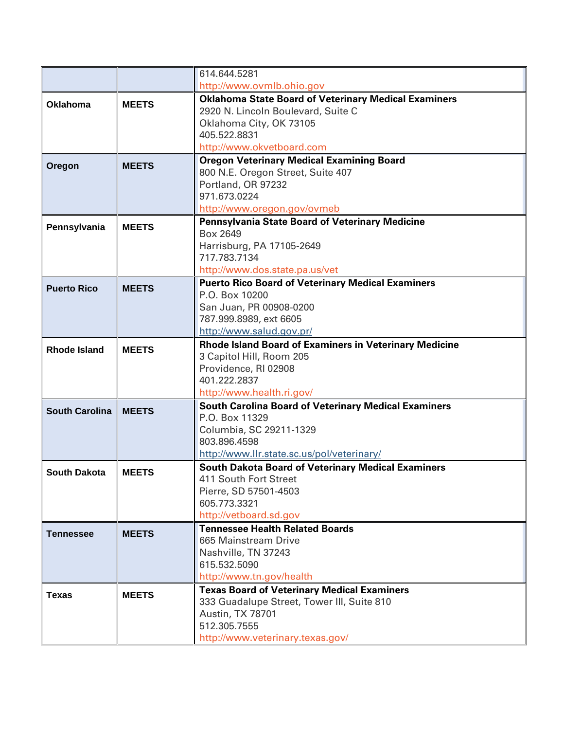|                       |              | 614.644.5281                                                                          |
|-----------------------|--------------|---------------------------------------------------------------------------------------|
|                       |              | http://www.ovmlb.ohio.gov                                                             |
| <b>Oklahoma</b>       | <b>MEETS</b> | <b>Oklahoma State Board of Veterinary Medical Examiners</b>                           |
|                       |              | 2920 N. Lincoln Boulevard, Suite C                                                    |
|                       |              | Oklahoma City, OK 73105                                                               |
|                       |              | 405.522.8831                                                                          |
|                       |              | http://www.okvetboard.com                                                             |
| Oregon                | <b>MEETS</b> | <b>Oregon Veterinary Medical Examining Board</b>                                      |
|                       |              | 800 N.E. Oregon Street, Suite 407                                                     |
|                       |              | Portland, OR 97232<br>971.673.0224                                                    |
|                       |              |                                                                                       |
|                       |              | http://www.oregon.gov/ovmeb<br><b>Pennsylvania State Board of Veterinary Medicine</b> |
| Pennsylvania          | <b>MEETS</b> | Box 2649                                                                              |
|                       |              | Harrisburg, PA 17105-2649                                                             |
|                       |              | 717.783.7134                                                                          |
|                       |              | http://www.dos.state.pa.us/vet                                                        |
|                       |              | <b>Puerto Rico Board of Veterinary Medical Examiners</b>                              |
| <b>Puerto Rico</b>    | <b>MEETS</b> | P.O. Box 10200                                                                        |
|                       |              | San Juan, PR 00908-0200                                                               |
|                       |              | 787.999.8989, ext 6605                                                                |
|                       |              | http://www.salud.gov.pr/                                                              |
| <b>Rhode Island</b>   | <b>MEETS</b> | <b>Rhode Island Board of Examiners in Veterinary Medicine</b>                         |
|                       |              | 3 Capitol Hill, Room 205                                                              |
|                       |              | Providence, RI 02908                                                                  |
|                       |              | 401.222.2837                                                                          |
|                       |              | http://www.health.ri.gov/                                                             |
| <b>South Carolina</b> | <b>MEETS</b> | <b>South Carolina Board of Veterinary Medical Examiners</b><br>P.O. Box 11329         |
|                       |              | Columbia, SC 29211-1329                                                               |
|                       |              | 803.896.4598                                                                          |
|                       |              | http://www.llr.state.sc.us/pol/veterinary/                                            |
|                       |              | <b>South Dakota Board of Veterinary Medical Examiners</b>                             |
| <b>South Dakota</b>   | <b>MEETS</b> | 411 South Fort Street                                                                 |
|                       |              | Pierre, SD 57501-4503                                                                 |
|                       |              | 605.773.3321                                                                          |
|                       |              | http://vetboard.sd.gov                                                                |
| <b>Tennessee</b>      | <b>MEETS</b> | <b>Tennessee Health Related Boards</b>                                                |
|                       |              | 665 Mainstream Drive                                                                  |
|                       |              | Nashville, TN 37243                                                                   |
|                       |              | 615.532.5090                                                                          |
|                       |              | http://www.tn.gov/health                                                              |
| <b>Texas</b>          | <b>MEETS</b> | <b>Texas Board of Veterinary Medical Examiners</b>                                    |
|                       |              | 333 Guadalupe Street, Tower III, Suite 810                                            |
|                       |              | Austin, TX 78701<br>512.305.7555                                                      |
|                       |              | http://www.veterinary.texas.gov/                                                      |
|                       |              |                                                                                       |